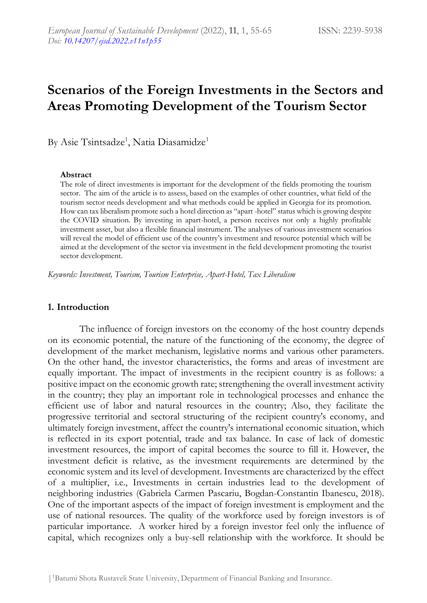# **Scenarios of the Foreign Investments in the Sectors and Areas Promoting Development of the Tourism Sector**

By Asie Tsintsadze<sup>1</sup>, Natia Diasamidze<sup>1</sup>

#### **Abstract**

The role of direct investments is important for the development of the fields promoting the tourism sector. The aim of the article is to assess, based on the examples of other countries, what field of the tourism sector needs development and what methods could be applied in Georgia for its promotion. How can tax liberalism promote such a hotel direction as "apart -hotel" status which is growing despite the COVID situation. By investing in apart-hotel, a person receives not only a highly profitable investment asset, but also a flexible financial instrument. The analyses of various investment scenarios will reveal the model of efficient use of the country's investment and resource potential which will be aimed at the development of the sector via investment in the field development promoting the tourist sector development.

*Keywords: Investment, Tourism, Tourism Enterprise, Apart-Hotel, Tax Liberalism*

#### **1. Introduction**

The influence of foreign investors on the economy of the host country depends on its economic potential, the nature of the functioning of the economy, the degree of development of the market mechanism, legislative norms and various other parameters. On the other hand, the investor characteristics, the forms and areas of investment are equally important. The impact of investments in the recipient country is as follows: a positive impact on the economic growth rate; strengthening the overall investment activity in the country; they play an important role in technological processes and enhance the efficient use of labor and natural resources in the country; Also, they facilitate the progressive territorial and sectoral structuring of the recipient country's economy, and ultimately foreign investment, affect the country's international economic situation, which is reflected in its export potential, trade and tax balance. In case of lack of domestic investment resources, the import of capital becomes the source to fill it. However, the investment deficit is relative, as the investment requirements are determined by the economic system and its level of development. Investments are characterized by the effect of a multiplier, i.e., Investments in certain industries lead to the development of neighboring industries (Gabriela Carmen Pascariu, Bogdan-Constantin Ibanescu, 2018). One of the important aspects of the impact of foreign investment is employment and the use of national resources. The quality of the workforce used by foreign investors is of particular importance. A worker hired by a foreign investor feel only the influence of capital, which recognizes only a buy-sell relationship with the workforce. It should be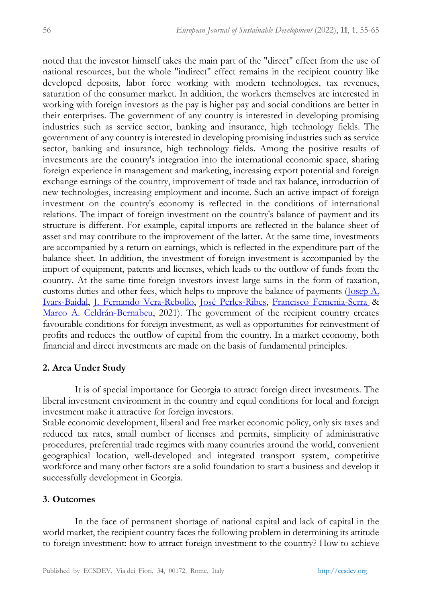noted that the investor himself takes the main part of the "direct" effect from the use of national resources, but the whole "indirect" effect remains in the recipient country like developed deposits, labor force working with modern technologies, tax revenues, saturation of the consumer market. In addition, the workers themselves are interested in working with foreign investors as the pay is higher pay and social conditions are better in their enterprises. The government of any country is interested in developing promising industries such as service sector, banking and insurance, high technology fields. The government of any country is interested in developing promising industries such as service sector, banking and insurance, high technology fields. Among the positive results of investments are the country's integration into the international economic space, sharing foreign experience in management and marketing, increasing export potential and foreign exchange earnings of the country, improvement of trade and tax balance, introduction of new technologies, increasing employment and income. Such an active impact of foreign investment on the country's economy is reflected in the conditions of international relations. The impact of foreign investment on the country's balance of payment and its structure is different. For example, capital imports are reflected in the balance sheet of asset and may contribute to the improvement of the latter. At the same time, investments are accompanied by a return on earnings, which is reflected in the expenditure part of the balance sheet. In addition, the investment of foreign investment is accompanied by the import of equipment, patents and licenses, which leads to the outflow of funds from the country. At the same time foreign investors invest large sums in the form of taxation, customs duties and other fees, which helps to improve the balance of payments [\(Josep A.](https://www.tandfonline.com/author/Ivars-Baidal%2C+Josep+A)  [Ivars-Baidal,](https://www.tandfonline.com/author/Ivars-Baidal%2C+Josep+A) [J. Fernando Vera-Rebollo,](https://www.tandfonline.com/author/Vera-Rebollo%2C+J+Fernando) [José Perles-Ribes,](https://www.tandfonline.com/author/Perles-Ribes%2C+Jos%C3%A9) [Francisco Femenia-Serra](https://www.tandfonline.com/author/Femenia-Serra%2C+Francisco) & [Marco A. Celdrán-Bernabeu,](https://www.tandfonline.com/author/Celdr%C3%A1n-Bernabeu%2C+Marco+A) 2021). The government of the recipient country creates favourable conditions for foreign investment, as well as opportunities for reinvestment of profits and reduces the outflow of capital from the country. In a market economy, both financial and direct investments are made on the basis of fundamental principles.

#### **2. Area Under Study**

It is of special importance for Georgia to attract foreign direct investments. The liberal investment environment in the country and equal conditions for local and foreign investment make it attractive for foreign investors.

Stable economic development, liberal and free market economic policy, only six taxes and reduced tax rates, small number of licenses and permits, simplicity of administrative procedures, preferential trade regimes with many countries around the world, convenient geographical location, well-developed and integrated transport system, competitive workforce and many other factors are a solid foundation to start a business and develop it successfully development in Georgia.

#### **3. Outcomes**

In the face of permanent shortage of national capital and lack of capital in the world market, the recipient country faces the following problem in determining its attitude to foreign investment: how to attract foreign investment to the country? How to achieve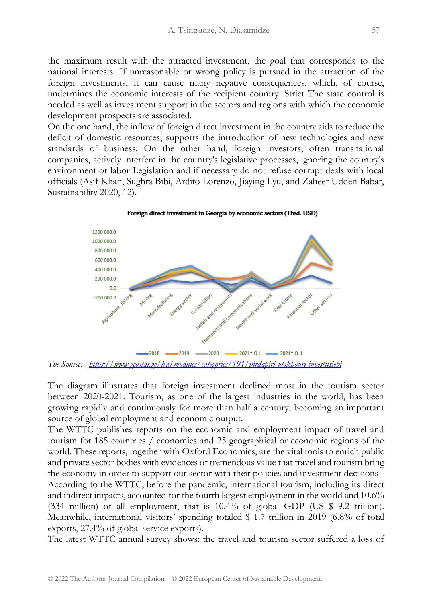the maximum result with the attracted investment, the goal that corresponds to the national interests. If unreasonable or wrong policy is pursued in the attraction of the foreign investments, it can cause many negative consequences, which, of course, undermines the economic interests of the recipient country. Strict The state control is needed as well as investment support in the sectors and regions with which the economic development prospects are associated.

On the one hand, the inflow of foreign direct investment in the country aids to reduce the deficit of domestic resources, supports the introduction of new technologies and new standards of business. On the other hand, foreign investors, often transnational companies, actively interfere in the country's legislative processes, ignoring the country's environment or labor Legislation and if necessary do not refuse corrupt deals with local officials (Asif Khan, Sughra Bibi, Ardito Lorenzo, Jiaying Lyu, and Zaheer Udden Babar, Sustainability 2020, 12).





The diagram illustrates that foreign investment declined most in the tourism sector between 2020-2021. Tourism, as one of the largest industries in the world, has been

growing rapidly and continuously for more than half a century, becoming an important source of global employment and economic output.

The WTTC publishes reports on the economic and employment impact of travel and tourism for 185 countries / economies and 25 geographical or economic regions of the world. These reports, together with Oxford Economics, are the vital tools to enrich public and private sector bodies with evidences of tremendous value that travel and tourism bring the economy in order to support our sector with their policies and investment decisions

According to the WTTC, before the pandemic, international tourism, including its direct and indirect impacts, accounted for the fourth largest employment in the world and 10.6% (334 million) of all employment, that is 10.4% of global GDP (US \$ 9.2 trillion). Meanwhile, international visitors' spending totaled \$ 1.7 trillion in 2019 (6.8% of total exports, 27.4% of global service exports).

The latest WTTC annual survey shows: the travel and tourism sector suffered a loss of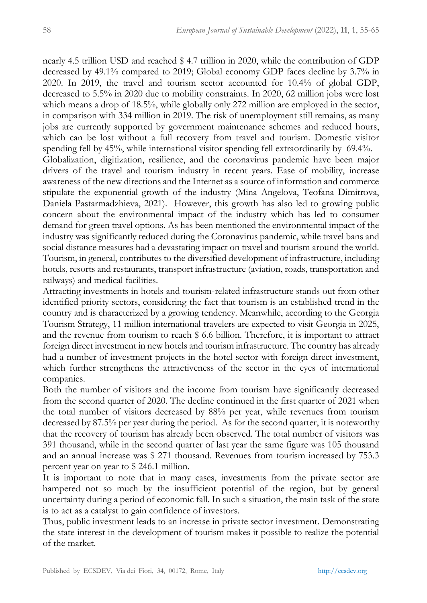nearly 4.5 trillion USD and reached \$ 4.7 trillion in 2020, while the contribution of GDP decreased by 49.1% compared to 2019; Global economy GDP faces decline by 3.7% in 2020. In 2019, the travel and tourism sector accounted for 10.4% of global GDP, decreased to 5.5% in 2020 due to mobility constraints. In 2020, 62 million jobs were lost which means a drop of 18.5%, while globally only 272 million are employed in the sector, in comparison with 334 million in 2019. The risk of unemployment still remains, as many jobs are currently supported by government maintenance schemes and reduced hours, which can be lost without a full recovery from travel and tourism. Domestic visitor spending fell by 45%, while international visitor spending fell extraordinarily by 69.4%. Globalization, digitization, resilience, and the coronavirus pandemic have been major drivers of the travel and tourism industry in recent years. Ease of mobility, increase awareness of the new directions and the Internet as a source of information and commerce stipulate the exponential growth of the industry (Mina Angelova, Teofana Dimitrova, Daniela Pastarmadzhieva, 2021). However, this growth has also led to growing public concern about the environmental impact of the industry which has led to consumer demand for green travel options. As has been mentioned the environmental impact of the industry was significantly reduced during the Coronavirus pandemic, while travel bans and social distance measures had a devastating impact on travel and tourism around the world. Tourism, in general, contributes to the diversified development of infrastructure, including hotels, resorts and restaurants, transport infrastructure (aviation, roads, transportation and railways) and medical facilities.

Attracting investments in hotels and tourism-related infrastructure stands out from other identified priority sectors, considering the fact that tourism is an established trend in the country and is characterized by a growing tendency. Meanwhile, according to the Georgia Tourism Strategy, 11 million international travelers are expected to visit Georgia in 2025, and the revenue from tourism to reach \$ 6.6 billion. Therefore, it is important to attract foreign direct investment in new hotels and tourism infrastructure. The country has already had a number of investment projects in the hotel sector with foreign direct investment, which further strengthens the attractiveness of the sector in the eyes of international companies.

Both the number of visitors and the income from tourism have significantly decreased from the second quarter of 2020. The decline continued in the first quarter of 2021 when the total number of visitors decreased by 88% per year, while revenues from tourism decreased by 87.5% per year during the period. As for the second quarter, it is noteworthy that the recovery of tourism has already been observed. The total number of visitors was 391 thousand, while in the second quarter of last year the same figure was 105 thousand and an annual increase was \$ 271 thousand. Revenues from tourism increased by 753.3 percent year on year to \$ 246.1 million.

It is important to note that in many cases, investments from the private sector are hampered not so much by the insufficient potential of the region, but by general uncertainty during a period of economic fall. In such a situation, the main task of the state is to act as a catalyst to gain confidence of investors.

Thus, public investment leads to an increase in private sector investment. Demonstrating the state interest in the development of tourism makes it possible to realize the potential of the market.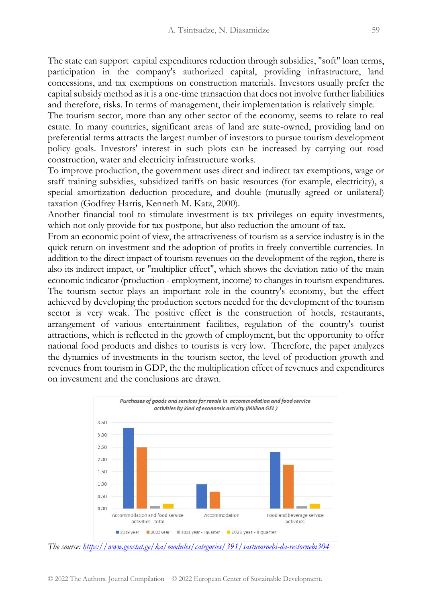The state can support capital expenditures reduction through subsidies, "soft" loan terms, participation in the company's authorized capital, providing infrastructure, land concessions, and tax exemptions on construction materials. Investors usually prefer the capital subsidy method as it is a one-time transaction that does not involve further liabilities and therefore, risks. In terms of management, their implementation is relatively simple.

The tourism sector, more than any other sector of the economy, seems to relate to real estate. In many countries, significant areas of land are state-owned, providing land on preferential terms attracts the largest number of investors to pursue tourism development policy goals. Investors' interest in such plots can be increased by carrying out road construction, water and electricity infrastructure works.

To improve production, the government uses direct and indirect tax exemptions, wage or staff training subsidies, subsidized tariffs on basic resources (for example, electricity), a special amortization deduction procedure, and double (mutually agreed or unilateral) taxation (Godfrey Harris, Kenneth M. Katz, 2000).

Another financial tool to stimulate investment is tax privileges on equity investments, which not only provide for tax postpone, but also reduction the amount of tax.

From an economic point of view, the attractiveness of tourism as a service industry is in the quick return on investment and the adoption of profits in freely convertible currencies. In addition to the direct impact of tourism revenues on the development of the region, there is also its indirect impact, or "multiplier effect", which shows the deviation ratio of the main economic indicator (production - employment, income) to changes in tourism expenditures. The tourism sector plays an important role in the country's economy, but the effect achieved by developing the production sectors needed for the development of the tourism sector is very weak. The positive effect is the construction of hotels, restaurants, arrangement of various entertainment facilities, regulation of the country's tourist attractions, which is reflected in the growth of employment, but the opportunity to offer national food products and dishes to tourists is very low. Therefore, the paper analyzes the dynamics of investments in the tourism sector, the level of production growth and revenues from tourism in GDP, the the multiplication effect of revenues and expenditures on investment and the conclusions are drawn.



*The source:<https://www.geostat.ge/ka/modules/categories/391/sastumroebi-da-restornebi304>*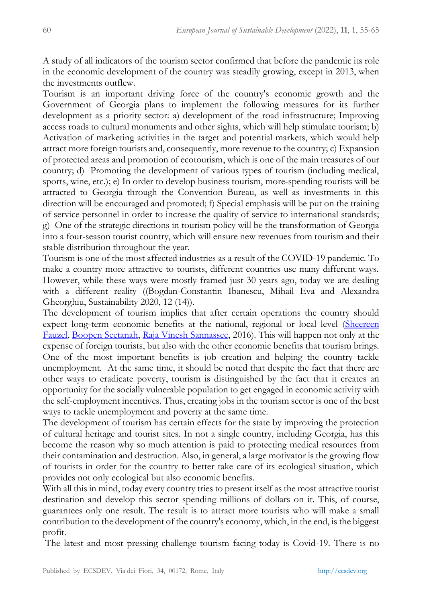A study of all indicators of the tourism sector confirmed that before the pandemic its role in the economic development of the country was steadily growing, except in 2013, when the investments outflew.

Tourism is an important driving force of the country's economic growth and the Government of Georgia plans to implement the following measures for its further development as a priority sector: a) development of the road infrastructure; Improving access roads to cultural monuments and other sights, which will help stimulate tourism; b) Activation of marketing activities in the target and potential markets, which would help attract more foreign tourists and, consequently, more revenue to the country; c) Expansion of protected areas and promotion of ecotourism, which is one of the main treasures of our country; d) Promoting the development of various types of tourism (including medical, sports, wine, etc.); e) In order to develop business tourism, more-spending tourists will be attracted to Georgia through the Convention Bureau, as well as investments in this direction will be encouraged and promoted; f) Special emphasis will be put on the training of service personnel in order to increase the quality of service to international standards; g) One of the strategic directions in tourism policy will be the transformation of Georgia into a four-season tourist country, which will ensure new revenues from tourism and their stable distribution throughout the year.

Tourism is one of the most affected industries as a result of the COVID-19 pandemic. To make a country more attractive to tourists, different countries use many different ways. However, while these ways were mostly framed just 30 years ago, today we are dealing with a different reality ((Bogdan-Constantin Ibanescu, Mihail Eva and Alexandra Gheorghiu, Sustainability 2020, 12 (14)).

The development of tourism implies that after certain operations the country should expect long-term economic benefits at the national, regional or local level (Sheereen [Fauzel,](https://www.researchgate.net/publication/profile/Sheereen-Fauzel) [Boopen Seetanah,](https://www.researchgate.net/publication/profile/Boopen-Seetanah) [Raja Vinesh Sannassee,](https://www.researchgate.net/publication/profile/Raja-Sannassee) 2016). This will happen not only at the expense of foreign tourists, but also with the other economic benefits that tourism brings. One of the most important benefits is job creation and helping the country tackle unemployment. At the same time, it should be noted that despite the fact that there are other ways to eradicate poverty, tourism is distinguished by the fact that it creates an opportunity for the socially vulnerable population to get engaged in economic activity with the self-employment incentives. Thus, creating jobs in the tourism sector is one of the best ways to tackle unemployment and poverty at the same time.

The development of tourism has certain effects for the state by improving the protection of cultural heritage and tourist sites. In not a single country, including Georgia, has this become the reason why so much attention is paid to protecting medical resources from their contamination and destruction. Also, in general, a large motivator is the growing flow of tourists in order for the country to better take care of its ecological situation, which provides not only ecological but also economic benefits.

With all this in mind, today every country tries to present itself as the most attractive tourist destination and develop this sector spending millions of dollars on it. This, of course, guarantees only one result. The result is to attract more tourists who will make a small contribution to the development of the country's economy, which, in the end, is the biggest profit.

The latest and most pressing challenge tourism facing today is Covid-19. There is no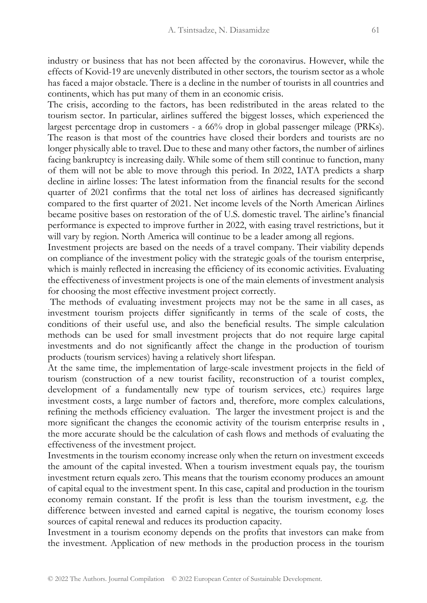industry or business that has not been affected by the coronavirus. However, while the effects of Kovid-19 are unevenly distributed in other sectors, the tourism sector as a whole has faced a major obstacle. There is a decline in the number of tourists in all countries and continents, which has put many of them in an economic crisis.

The crisis, according to the factors, has been redistributed in the areas related to the tourism sector. In particular, airlines suffered the biggest losses, which experienced the largest percentage drop in customers - a 66% drop in global passenger mileage (PRKs). The reason is that most of the countries have closed their borders and tourists are no longer physically able to travel. Due to these and many other factors, the number of airlines facing bankruptcy is increasing daily. While some of them still continue to function, many of them will not be able to move through this period. In 2022, IATA predicts a sharp decline in airline losses: The latest information from the financial results for the second quarter of 2021 confirms that the total net loss of airlines has decreased significantly compared to the first quarter of 2021. Net income levels of the North American Airlines became positive bases on restoration of the of U.S. domestic travel. The airline's financial performance is expected to improve further in 2022, with easing travel restrictions, but it will vary by region. North America will continue to be a leader among all regions.

Investment projects are based on the needs of a travel company. Their viability depends on compliance of the investment policy with the strategic goals of the tourism enterprise, which is mainly reflected in increasing the efficiency of its economic activities. Evaluating the effectiveness of investment projects is one of the main elements of investment analysis for choosing the most effective investment project correctly.

The methods of evaluating investment projects may not be the same in all cases, as investment tourism projects differ significantly in terms of the scale of costs, the conditions of their useful use, and also the beneficial results. The simple calculation methods can be used for small investment projects that do not require large capital investments and do not significantly affect the change in the production of tourism products (tourism services) having a relatively short lifespan.

At the same time, the implementation of large-scale investment projects in the field of tourism (construction of a new tourist facility, reconstruction of a tourist complex, development of a fundamentally new type of tourism services, etc.) requires large investment costs, a large number of factors and, therefore, more complex calculations, refining the methods efficiency evaluation. The larger the investment project is and the more significant the changes the economic activity of the tourism enterprise results in , the more accurate should be the calculation of cash flows and methods of evaluating the effectiveness of the investment project.

Investments in the tourism economy increase only when the return on investment exceeds the amount of the capital invested. When a tourism investment equals pay, the tourism investment return equals zero. This means that the tourism economy produces an amount of capital equal to the investment spent. In this case, capital and production in the tourism economy remain constant. If the profit is less than the tourism investment, e.g. the difference between invested and earned capital is negative, the tourism economy loses sources of capital renewal and reduces its production capacity.

Investment in a tourism economy depends on the profits that investors can make from the investment. Application of new methods in the production process in the tourism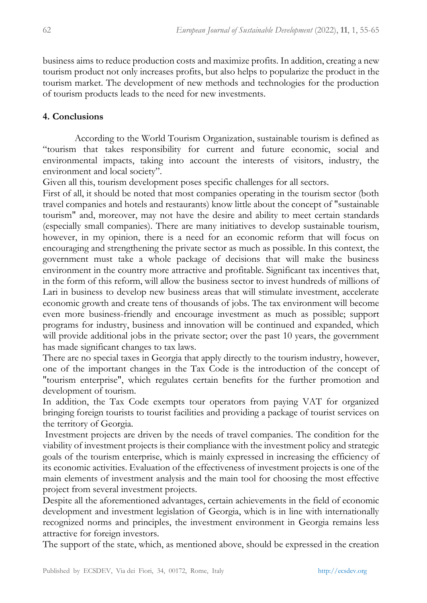business aims to reduce production costs and maximize profits. In addition, creating a new tourism product not only increases profits, but also helps to popularize the product in the tourism market. The development of new methods and technologies for the production of tourism products leads to the need for new investments.

### **4. Conclusions**

According to the World Tourism Organization, sustainable tourism is defined as "tourism that takes responsibility for current and future economic, social and environmental impacts, taking into account the interests of visitors, industry, the environment and local society".

Given all this, tourism development poses specific challenges for all sectors.

First of all, it should be noted that most companies operating in the tourism sector (both travel companies and hotels and restaurants) know little about the concept of "sustainable tourism" and, moreover, may not have the desire and ability to meet certain standards (especially small companies). There are many initiatives to develop sustainable tourism, however, in my opinion, there is a need for an economic reform that will focus on encouraging and strengthening the private sector as much as possible. In this context, the government must take a whole package of decisions that will make the business environment in the country more attractive and profitable. Significant tax incentives that, in the form of this reform, will allow the business sector to invest hundreds of millions of Lari in business to develop new business areas that will stimulate investment, accelerate economic growth and create tens of thousands of jobs. The tax environment will become even more business-friendly and encourage investment as much as possible; support programs for industry, business and innovation will be continued and expanded, which will provide additional jobs in the private sector; over the past 10 years, the government has made significant changes to tax laws.

There are no special taxes in Georgia that apply directly to the tourism industry, however, one of the important changes in the Tax Code is the introduction of the concept of "tourism enterprise", which regulates certain benefits for the further promotion and development of tourism.

In addition, the Tax Code exempts tour operators from paying VAT for organized bringing foreign tourists to tourist facilities and providing a package of tourist services on the territory of Georgia.

Investment projects are driven by the needs of travel companies. The condition for the viability of investment projects is their compliance with the investment policy and strategic goals of the tourism enterprise, which is mainly expressed in increasing the efficiency of its economic activities. Evaluation of the effectiveness of investment projects is one of the main elements of investment analysis and the main tool for choosing the most effective project from several investment projects.

Despite all the aforementioned advantages, certain achievements in the field of economic development and investment legislation of Georgia, which is in line with internationally recognized norms and principles, the investment environment in Georgia remains less attractive for foreign investors.

The support of the state, which, as mentioned above, should be expressed in the creation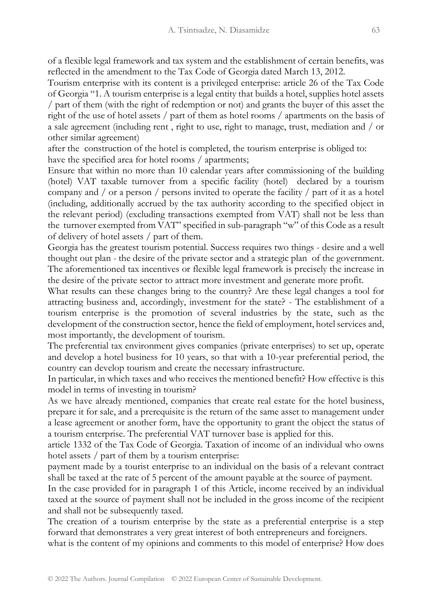of a flexible legal framework and tax system and the establishment of certain benefits, was reflected in the amendment to the Tax Code of Georgia dated March 13, 2012.

Tourism enterprise with its content is a privileged enterprise: article 26 of the Tax Code of Georgia "1. A tourism enterprise is a legal entity that builds a hotel, supplies hotel assets / part of them (with the right of redemption or not) and grants the buyer of this asset the right of the use of hotel assets / part of them as hotel rooms / apartments on the basis of a sale agreement (including rent , right to use, right to manage, trust, mediation and / or other similar agreement)

after the construction of the hotel is completed, the tourism enterprise is obliged to: have the specified area for hotel rooms / apartments;

Ensure that within no more than 10 calendar years after commissioning of the building (hotel) VAT taxable turnover from a specific facility (hotel) declared by a tourism company and / or a person / persons invited to operate the facility / part of it as a hotel (including, additionally accrued by the tax authority according to the specified object in the relevant period) (excluding transactions exempted from VAT) shall not be less than the turnover exempted from VAT" specified in sub-paragraph "w" of this Code as a result of delivery of hotel assets / part of them.

Georgia has the greatest tourism potential. Success requires two things - desire and a well thought out plan - the desire of the private sector and a strategic plan of the government. The aforementioned tax incentives or flexible legal framework is precisely the increase in the desire of the private sector to attract more investment and generate more profit.

What results can these changes bring to the country? Are these legal changes a tool for attracting business and, accordingly, investment for the state? - The establishment of a tourism enterprise is the promotion of several industries by the state, such as the development of the construction sector, hence the field of employment, hotel services and, most importantly, the development of tourism.

The preferential tax environment gives companies (private enterprises) to set up, operate and develop a hotel business for 10 years, so that with a 10-year preferential period, the country can develop tourism and create the necessary infrastructure.

In particular, in which taxes and who receives the mentioned benefit? How effective is this model in terms of investing in tourism?

As we have already mentioned, companies that create real estate for the hotel business, prepare it for sale, and a prerequisite is the return of the same asset to management under a lease agreement or another form, have the opportunity to grant the object the status of a tourism enterprise. The preferential VAT turnover base is applied for this.

article 1332 of the Tax Code of Georgia. Taxation of income of an individual who owns hotel assets / part of them by a tourism enterprise:

payment made by a tourist enterprise to an individual on the basis of a relevant contract shall be taxed at the rate of 5 percent of the amount payable at the source of payment.

In the case provided for in paragraph 1 of this Article, income received by an individual taxed at the source of payment shall not be included in the gross income of the recipient and shall not be subsequently taxed.

The creation of a tourism enterprise by the state as a preferential enterprise is a step forward that demonstrates a very great interest of both entrepreneurs and foreigners.

what is the content of my opinions and comments to this model of enterprise? How does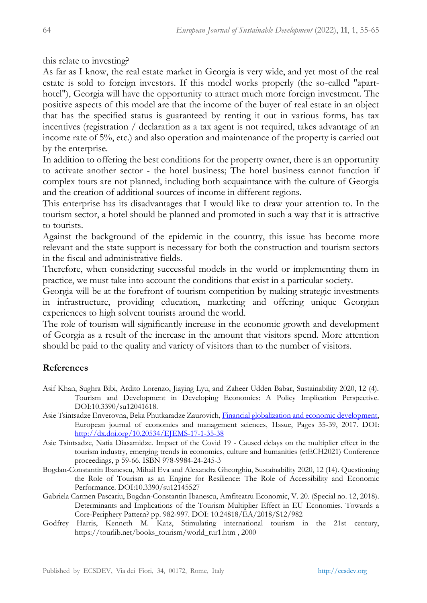this relate to investing?

As far as I know, the real estate market in Georgia is very wide, and yet most of the real estate is sold to foreign investors. If this model works properly (the so-called "aparthotel"), Georgia will have the opportunity to attract much more foreign investment. The positive aspects of this model are that the income of the buyer of real estate in an object that has the specified status is guaranteed by renting it out in various forms, has tax incentives (registration / declaration as a tax agent is not required, takes advantage of an income rate of 5%, etc.) and also operation and maintenance of the property is carried out by the enterprise.

In addition to offering the best conditions for the property owner, there is an opportunity to activate another sector - the hotel business; The hotel business cannot function if complex tours are not planned, including both acquaintance with the culture of Georgia and the creation of additional sources of income in different regions.

This enterprise has its disadvantages that I would like to draw your attention to. In the tourism sector, a hotel should be planned and promoted in such a way that it is attractive to tourists.

Against the background of the epidemic in the country, this issue has become more relevant and the state support is necessary for both the construction and tourism sectors in the fiscal and administrative fields.

Therefore, when considering successful models in the world or implementing them in practice, we must take into account the conditions that exist in a particular society.

Georgia will be at the forefront of tourism competition by making strategic investments in infrastructure, providing education, marketing and offering unique Georgian experiences to high solvent tourists around the world.

The role of tourism will significantly increase in the economic growth and development of Georgia as a result of the increase in the amount that visitors spend. More attention should be paid to the quality and variety of visitors than to the number of visitors.

## **References**

- Asif Khan, Sughra Bibi, Ardito Lorenzo, Jiaying Lyu, and Zaheer Udden Babar, Sustainability 2020, 12 (4). Tourism and Development in Developing Economies: A Policy Implication Perspective. DOI:10.3390/su12041618.
- Asie Tsintsadze Enverovna, Beka Phutkaradze Zaurovich[, Financial globalization and economic development,](https://cyberleninka.ru/article/n/16999906) European journal of economics and management sciences, 1Issue, Pages 35-39, 2017. DOI: <http://dx.doi.org/10.20534/EJEMS-17-1-35-38>
- Asie Tsintsadze, Natia Diasamidze. Impact of the Covid 19 Caused delays on the multiplier effect in the tourism industry, emerging trends in economics, culture and humanities (etECH2021) Conference proceedings, p 59-66. ISBN 978-9984-24-245-3
- Bogdan-Constantin Ibanescu, Mihail Eva and Alexandra Gheorghiu, Sustainability 2020, 12 (14). Questioning the Role of Tourism as an Engine for Resilience: The Role of Accessibility and Economic Performance. DOI:10.3390/su12145527
- Gabriela Carmen Pascariu, Bogdan-Constantin Ibanescu, Amfiteatru Economic, V. 20. (Special no. 12, 2018). Determinants and Implications of the Tourism Multiplier Effect in EU Economies. Towards a Core-Periphery Pattern? pp. 982-997. DOI: 10.24818/EA/2018/S12/982
- Godfrey Harris, Kenneth M. Katz, Stimulating international tourism in the 21st century, https://tourlib.net/books\_tourism/world\_tur1.htm , 2000